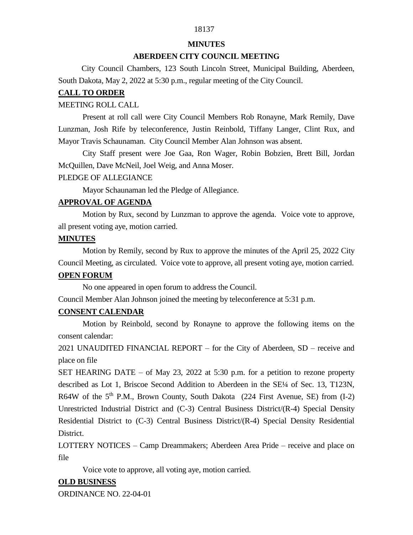# 18137

#### **MINUTES**

## **ABERDEEN CITY COUNCIL MEETING**

 City Council Chambers, 123 South Lincoln Street, Municipal Building, Aberdeen, South Dakota, May 2, 2022 at 5:30 p.m., regular meeting of the City Council.

## **CALL TO ORDER**

## MEETING ROLL CALL

Present at roll call were City Council Members Rob Ronayne, Mark Remily, Dave Lunzman, Josh Rife by teleconference, Justin Reinbold, Tiffany Langer, Clint Rux, and Mayor Travis Schaunaman. City Council Member Alan Johnson was absent.

City Staff present were Joe Gaa, Ron Wager, Robin Bobzien, Brett Bill, Jordan McQuillen, Dave McNeil, Joel Weig, and Anna Moser.

#### PLEDGE OF ALLEGIANCE

Mayor Schaunaman led the Pledge of Allegiance.

## **APPROVAL OF AGENDA**

Motion by Rux, second by Lunzman to approve the agenda. Voice vote to approve, all present voting aye, motion carried.

## **MINUTES**

Motion by Remily, second by Rux to approve the minutes of the April 25, 2022 City Council Meeting, as circulated. Voice vote to approve, all present voting aye, motion carried.

## **OPEN FORUM**

No one appeared in open forum to address the Council.

Council Member Alan Johnson joined the meeting by teleconference at 5:31 p.m.

## **CONSENT CALENDAR**

Motion by Reinbold, second by Ronayne to approve the following items on the consent calendar:

2021 UNAUDITED FINANCIAL REPORT – for the City of Aberdeen, SD – receive and place on file

SET HEARING DATE – of May 23, 2022 at 5:30 p.m. for a petition to rezone property described as Lot 1, Briscoe Second Addition to Aberdeen in the SE<sup>1</sup>/4 of Sec. 13, T123N, R64W of the  $5<sup>th</sup>$  P.M., Brown County, South Dakota (224 First Avenue, SE) from (I-2) Unrestricted Industrial District and (C-3) Central Business District/(R-4) Special Density Residential District to (C-3) Central Business District/(R-4) Special Density Residential District.

LOTTERY NOTICES – Camp Dreammakers; Aberdeen Area Pride – receive and place on file

Voice vote to approve, all voting aye, motion carried.

## **OLD BUSINESS**

ORDINANCE NO. 22-04-01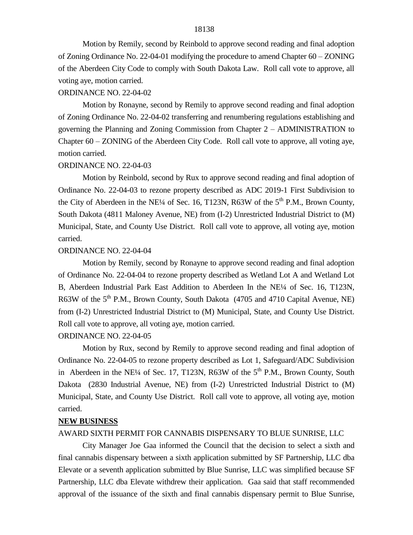Motion by Remily, second by Reinbold to approve second reading and final adoption of Zoning Ordinance No. 22-04-01 modifying the procedure to amend Chapter 60 – ZONING of the Aberdeen City Code to comply with South Dakota Law. Roll call vote to approve, all voting aye, motion carried.

## ORDINANCE NO. 22-04-02

Motion by Ronayne, second by Remily to approve second reading and final adoption of Zoning Ordinance No. 22-04-02 transferring and renumbering regulations establishing and governing the Planning and Zoning Commission from Chapter 2 – ADMINISTRATION to Chapter 60 – ZONING of the Aberdeen City Code. Roll call vote to approve, all voting aye, motion carried.

#### ORDINANCE NO. 22-04-03

Motion by Reinbold, second by Rux to approve second reading and final adoption of Ordinance No. 22-04-03 to rezone property described as ADC 2019-1 First Subdivision to the City of Aberdeen in the NE¼ of Sec. 16, T123N, R63W of the  $5<sup>th</sup>$  P.M., Brown County, South Dakota (4811 Maloney Avenue, NE) from (I-2) Unrestricted Industrial District to (M) Municipal, State, and County Use District. Roll call vote to approve, all voting aye, motion carried.

#### ORDINANCE NO. 22-04-04

Motion by Remily, second by Ronayne to approve second reading and final adoption of Ordinance No. 22-04-04 to rezone property described as Wetland Lot A and Wetland Lot B, Aberdeen Industrial Park East Addition to Aberdeen In the NE¼ of Sec. 16, T123N, R63W of the  $5<sup>th</sup>$  P.M., Brown County, South Dakota (4705 and 4710 Capital Avenue, NE) from (I-2) Unrestricted Industrial District to (M) Municipal, State, and County Use District. Roll call vote to approve, all voting aye, motion carried.

### ORDINANCE NO. 22-04-05

Motion by Rux, second by Remily to approve second reading and final adoption of Ordinance No. 22-04-05 to rezone property described as Lot 1, Safeguard/ADC Subdivision in Aberdeen in the NE¼ of Sec. 17, T123N, R63W of the  $5<sup>th</sup>$  P.M., Brown County, South Dakota (2830 Industrial Avenue, NE) from (I-2) Unrestricted Industrial District to (M) Municipal, State, and County Use District. Roll call vote to approve, all voting aye, motion carried.

#### **NEW BUSINESS**

#### AWARD SIXTH PERMIT FOR CANNABIS DISPENSARY TO BLUE SUNRISE, LLC

City Manager Joe Gaa informed the Council that the decision to select a sixth and final cannabis dispensary between a sixth application submitted by SF Partnership, LLC dba Elevate or a seventh application submitted by Blue Sunrise, LLC was simplified because SF Partnership, LLC dba Elevate withdrew their application. Gaa said that staff recommended approval of the issuance of the sixth and final cannabis dispensary permit to Blue Sunrise,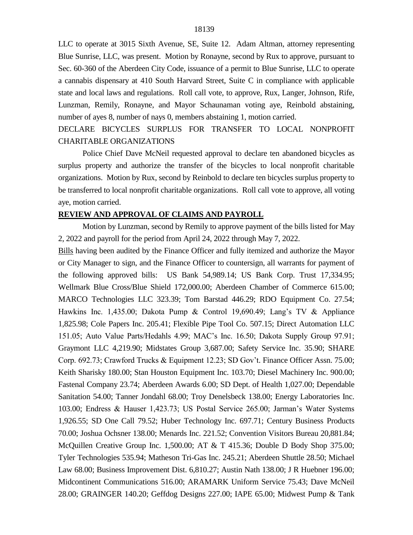LLC to operate at 3015 Sixth Avenue, SE, Suite 12. Adam Altman, attorney representing Blue Sunrise, LLC, was present. Motion by Ronayne, second by Rux to approve, pursuant to Sec. 60-360 of the Aberdeen City Code, issuance of a permit to Blue Sunrise, LLC to operate a cannabis dispensary at 410 South Harvard Street, Suite C in compliance with applicable state and local laws and regulations. Roll call vote, to approve, Rux, Langer, Johnson, Rife, Lunzman, Remily, Ronayne, and Mayor Schaunaman voting aye, Reinbold abstaining, number of ayes 8, number of nays 0, members abstaining 1, motion carried.

DECLARE BICYCLES SURPLUS FOR TRANSFER TO LOCAL NONPROFIT CHARITABLE ORGANIZATIONS

Police Chief Dave McNeil requested approval to declare ten abandoned bicycles as surplus property and authorize the transfer of the bicycles to local nonprofit charitable organizations. Motion by Rux, second by Reinbold to declare ten bicycles surplus property to be transferred to local nonprofit charitable organizations. Roll call vote to approve, all voting aye, motion carried.

## **REVIEW AND APPROVAL OF CLAIMS AND PAYROLL**

Motion by Lunzman, second by Remily to approve payment of the bills listed for May 2, 2022 and payroll for the period from April 24, 2022 through May 7, 2022.

Bills having been audited by the Finance Officer and fully itemized and authorize the Mayor or City Manager to sign, and the Finance Officer to countersign, all warrants for payment of the following approved bills: US Bank 54,989.14; US Bank Corp. Trust 17,334.95; Wellmark Blue Cross/Blue Shield 172,000.00; Aberdeen Chamber of Commerce 615.00; MARCO Technologies LLC 323.39; Tom Barstad 446.29; RDO Equipment Co. 27.54; Hawkins Inc. 1,435.00; Dakota Pump & Control 19,690.49; Lang's TV & Appliance 1,825.98; Cole Papers Inc. 205.41; Flexible Pipe Tool Co. 507.15; Direct Automation LLC 151.05; Auto Value Parts/Hedahls 4.99; MAC's Inc. 16.50; Dakota Supply Group 97.91; Graymont LLC 4,219.90; Midstates Group 3,687.00; Safety Service Inc. 35.90; SHARE Corp. 692.73; Crawford Trucks & Equipment 12.23; SD Gov't. Finance Officer Assn. 75.00; Keith Sharisky 180.00; Stan Houston Equipment Inc. 103.70; Diesel Machinery Inc. 900.00; Fastenal Company 23.74; Aberdeen Awards 6.00; SD Dept. of Health 1,027.00; Dependable Sanitation 54.00; Tanner Jondahl 68.00; Troy Denelsbeck 138.00; Energy Laboratories Inc. 103.00; Endress & Hauser 1,423.73; US Postal Service 265.00; Jarman's Water Systems 1,926.55; SD One Call 79.52; Huber Technology Inc. 697.71; Century Business Products 70.00; Joshua Ochsner 138.00; Menards Inc. 221.52; Convention Visitors Bureau 20,881.84; McQuillen Creative Group Inc. 1,500.00; AT & T 415.36; Double D Body Shop 375.00; Tyler Technologies 535.94; Matheson Tri-Gas Inc. 245.21; Aberdeen Shuttle 28.50; Michael Law 68.00; Business Improvement Dist. 6,810.27; Austin Nath 138.00; J R Huebner 196.00; Midcontinent Communications 516.00; ARAMARK Uniform Service 75.43; Dave McNeil 28.00; GRAINGER 140.20; Geffdog Designs 227.00; IAPE 65.00; Midwest Pump & Tank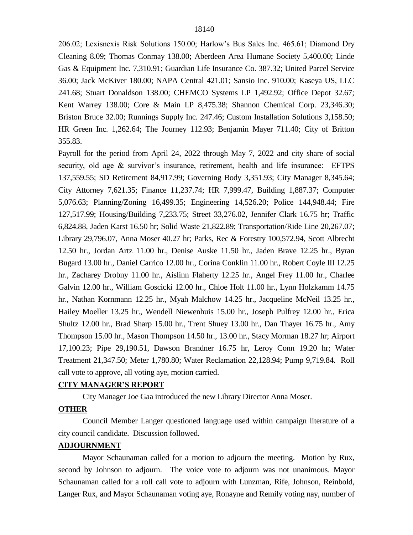206.02; Lexisnexis Risk Solutions 150.00; Harlow's Bus Sales Inc. 465.61; Diamond Dry Cleaning 8.09; Thomas Conmay 138.00; Aberdeen Area Humane Society 5,400.00; Linde Gas & Equipment Inc. 7,310.91; Guardian Life Insurance Co. 387.32; United Parcel Service 36.00; Jack McKiver 180.00; NAPA Central 421.01; Sansio Inc. 910.00; Kaseya US, LLC 241.68; Stuart Donaldson 138.00; CHEMCO Systems LP 1,492.92; Office Depot 32.67; Kent Warrey 138.00; Core & Main LP 8,475.38; Shannon Chemical Corp. 23,346.30; Briston Bruce 32.00; Runnings Supply Inc. 247.46; Custom Installation Solutions 3,158.50; HR Green Inc. 1,262.64; The Journey 112.93; Benjamin Mayer 711.40; City of Britton 355.83.

Payroll for the period from April 24, 2022 through May 7, 2022 and city share of social security, old age & survivor's insurance, retirement, health and life insurance: EFTPS 137,559.55; SD Retirement 84,917.99; Governing Body 3,351.93; City Manager 8,345.64; City Attorney 7,621.35; Finance 11,237.74; HR 7,999.47, Building 1,887.37; Computer 5,076.63; Planning/Zoning 16,499.35; Engineering 14,526.20; Police 144,948.44; Fire 127,517.99; Housing/Building 7,233.75; Street 33,276.02, Jennifer Clark 16.75 hr; Traffic 6,824.88, Jaden Karst 16.50 hr; Solid Waste 21,822.89; Transportation/Ride Line 20,267.07; Library 29,796.07, Anna Moser 40.27 hr; Parks, Rec & Forestry 100,572.94, Scott Albrecht 12.50 hr., Jordan Artz 11.00 hr., Denise Auske 11.50 hr., Jaden Brave 12.25 hr., Byran Bugard 13.00 hr., Daniel Carrico 12.00 hr., Corina Conklin 11.00 hr., Robert Coyle III 12.25 hr., Zacharey Drobny 11.00 hr., Aislinn Flaherty 12.25 hr., Angel Frey 11.00 hr., Charlee Galvin 12.00 hr., William Goscicki 12.00 hr., Chloe Holt 11.00 hr., Lynn Holzkamm 14.75 hr., Nathan Kornmann 12.25 hr., Myah Malchow 14.25 hr., Jacqueline McNeil 13.25 hr., Hailey Moeller 13.25 hr., Wendell Niewenhuis 15.00 hr., Joseph Pulfrey 12.00 hr., Erica Shultz 12.00 hr., Brad Sharp 15.00 hr., Trent Shuey 13.00 hr., Dan Thayer 16.75 hr., Amy Thompson 15.00 hr., Mason Thompson 14.50 hr., 13.00 hr., Stacy Morman 18.27 hr; Airport 17,100.23; Pipe 29,190.51, Dawson Brandner 16.75 hr, Leroy Conn 19.20 hr; Water Treatment 21,347.50; Meter 1,780.80; Water Reclamation 22,128.94; Pump 9,719.84. Roll call vote to approve, all voting aye, motion carried.

#### **CITY MANAGER'S REPORT**

City Manager Joe Gaa introduced the new Library Director Anna Moser.

#### **OTHER**

Council Member Langer questioned language used within campaign literature of a city council candidate. Discussion followed.

## **ADJOURNMENT**

Mayor Schaunaman called for a motion to adjourn the meeting. Motion by Rux, second by Johnson to adjourn. The voice vote to adjourn was not unanimous. Mayor Schaunaman called for a roll call vote to adjourn with Lunzman, Rife, Johnson, Reinbold, Langer Rux, and Mayor Schaunaman voting aye, Ronayne and Remily voting nay, number of